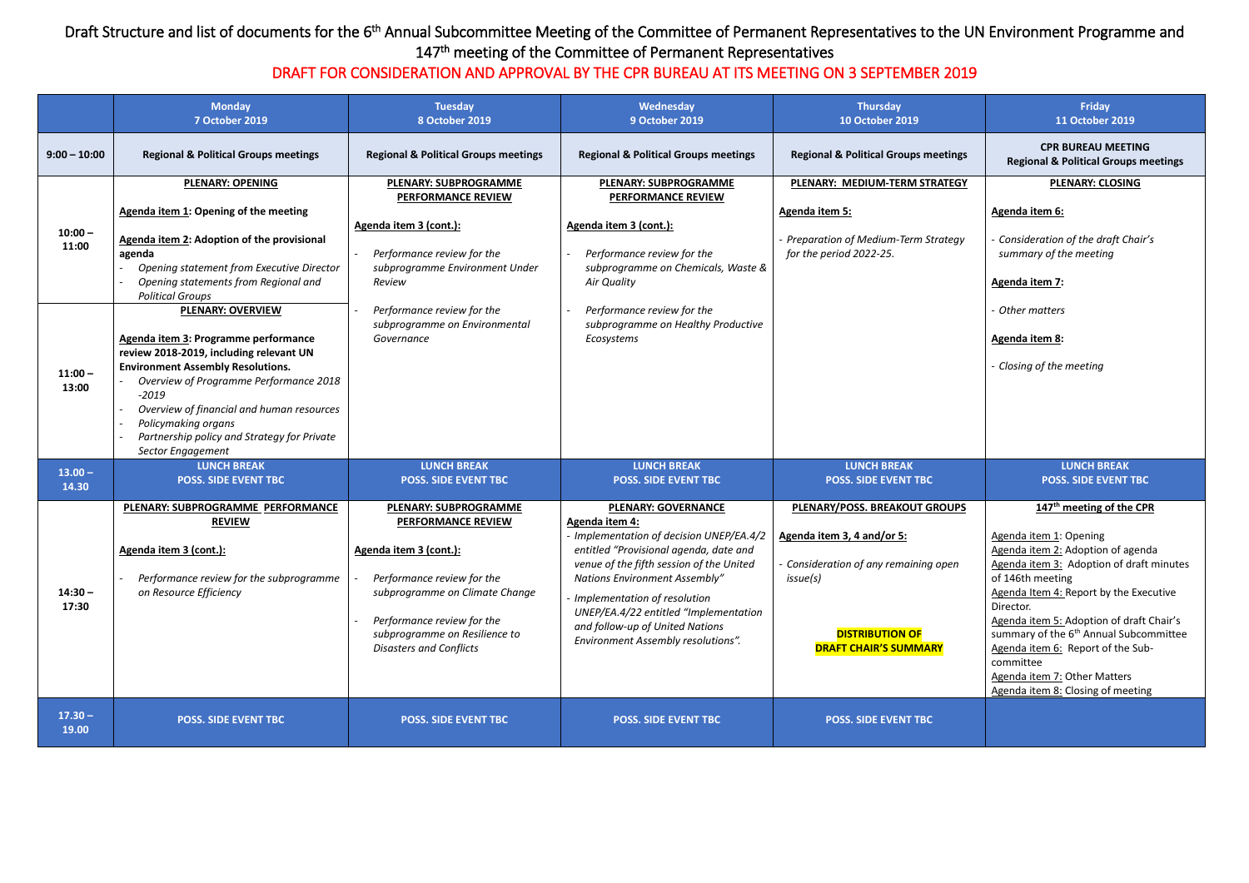## Draft Structure and list of documents for the 6<sup>th</sup> Annual Subcommittee Meeting of the Committee of Permanent Representatives to the UN Environment Programme and 147<sup>th</sup> meeting of the Committee of Permanent Representatives

## DRAFT FOR CONSIDERATION AND APPROVAL BY THE CPR BUREAU AT ITS MEETING ON 3 SEPTEMBER 2019

|                                          | <b>Monday</b><br><b>7 October 2019</b>                                                                                                                                                                                                                                                                                   | <b>Tuesday</b><br>8 October 2019                                                                                                                                                                                                                     | Wednesday<br>9 October 2019                                                                                                                                                                                                                                                                                                                                              | <b>Thursday</b><br><b>10 October 2019</b>                                                                                                                                  | Friday<br>11 October 2019                                                                                                                                                                                                                                                                                                                                                                                                                           |
|------------------------------------------|--------------------------------------------------------------------------------------------------------------------------------------------------------------------------------------------------------------------------------------------------------------------------------------------------------------------------|------------------------------------------------------------------------------------------------------------------------------------------------------------------------------------------------------------------------------------------------------|--------------------------------------------------------------------------------------------------------------------------------------------------------------------------------------------------------------------------------------------------------------------------------------------------------------------------------------------------------------------------|----------------------------------------------------------------------------------------------------------------------------------------------------------------------------|-----------------------------------------------------------------------------------------------------------------------------------------------------------------------------------------------------------------------------------------------------------------------------------------------------------------------------------------------------------------------------------------------------------------------------------------------------|
| $9:00 - 10:00$                           | <b>Regional &amp; Political Groups meetings</b>                                                                                                                                                                                                                                                                          | <b>Regional &amp; Political Groups meetings</b>                                                                                                                                                                                                      | <b>Regional &amp; Political Groups meetings</b>                                                                                                                                                                                                                                                                                                                          | <b>Regional &amp; Political Groups meetings</b>                                                                                                                            | <b>CPR BUREAU MEETING</b><br><b>Regional &amp; Political Groups meetings</b>                                                                                                                                                                                                                                                                                                                                                                        |
| $10:00 -$<br>11:00<br>$11:00 -$<br>13:00 | <b>PLENARY: OPENING</b><br>Agenda item 1: Opening of the meeting<br>Agenda item 2: Adoption of the provisional<br>agenda<br>Opening statement from Executive Director<br>Opening statements from Regional and<br><b>Political Groups</b><br><b>PLENARY: OVERVIEW</b>                                                     | <b>PLENARY: SUBPROGRAMME</b><br><b>PERFORMANCE REVIEW</b><br>Agenda item 3 (cont.):<br>Performance review for the<br>subprogramme Environment Under<br>Review<br>Performance review for the<br>subprogramme on Environmental                         | <b>PLENARY: SUBPROGRAMME</b><br>PERFORMANCE REVIEW<br>Agenda item 3 (cont.):<br>Performance review for the<br>subprogramme on Chemicals, Waste &<br>Air Quality<br>Performance review for the<br>subprogramme on Healthy Productive                                                                                                                                      | PLENARY: MEDIUM-TERM STRATEGY<br><b>Agenda item 5:</b><br><b>Preparation of Medium-Term Strategy</b><br>for the period 2022-25.                                            | <b>PLENARY: CLOSING</b><br>Agenda item 6:<br>Consideration of the draft Chair's<br>summary of the meeting<br><b>Agenda item 7:</b><br>Other matters                                                                                                                                                                                                                                                                                                 |
|                                          | Agenda item 3: Programme performance<br>review 2018-2019, including relevant UN<br><b>Environment Assembly Resolutions.</b><br>Overview of Programme Performance 2018<br>$-2019$<br>Overview of financial and human resources<br>Policymaking organs<br>Partnership policy and Strategy for Private<br>Sector Engagement | Governance                                                                                                                                                                                                                                           | Ecosystems                                                                                                                                                                                                                                                                                                                                                               |                                                                                                                                                                            | Agenda item 8:<br>Closing of the meeting                                                                                                                                                                                                                                                                                                                                                                                                            |
| $13.00 -$<br>14.30                       | <b>LUNCH BREAK</b><br><b>POSS. SIDE EVENT TBC</b>                                                                                                                                                                                                                                                                        | <b>LUNCH BREAK</b><br><b>POSS. SIDE EVENT TBC</b>                                                                                                                                                                                                    | <b>LUNCH BREAK</b><br><b>POSS. SIDE EVENT TBC</b>                                                                                                                                                                                                                                                                                                                        | <b>LUNCH BREAK</b><br><b>POSS. SIDE EVENT TBC</b>                                                                                                                          | <b>LUNCH BREAK</b><br><b>POSS. SIDE EVENT TBC</b>                                                                                                                                                                                                                                                                                                                                                                                                   |
| $14:30 -$<br>17:30                       | PLENARY: SUBPROGRAMME PERFORMANCE<br><b>REVIEW</b><br>Agenda item 3 (cont.):<br>Performance review for the subprogramme<br>on Resource Efficiency                                                                                                                                                                        | <b>PLENARY: SUBPROGRAMME</b><br><b>PERFORMANCE REVIEW</b><br>Agenda item 3 (cont.):<br>Performance review for the<br>subprogramme on Climate Change<br>Performance review for the<br>subprogramme on Resilience to<br><b>Disasters and Conflicts</b> | <b>PLENARY: GOVERNANCE</b><br>Agenda item 4:<br>- Implementation of decision UNEP/EA.4/2<br>entitled "Provisional agenda, date and<br>venue of the fifth session of the United<br><b>Nations Environment Assembly"</b><br>Implementation of resolution<br>UNEP/EA.4/22 entitled "Implementation<br>and follow-up of United Nations<br>Environment Assembly resolutions". | PLENARY/POSS. BREAKOUT GROUPS<br>Agenda item 3, 4 and/or 5:<br>- Consideration of any remaining open<br>issue(s)<br><b>DISTRIBUTION OF</b><br><b>DRAFT CHAIR'S SUMMARY</b> | 147 <sup>th</sup> meeting of the CPR<br>Agenda item 1: Opening<br>Agenda item 2: Adoption of agenda<br>Agenda item 3: Adoption of draft minutes<br>of 146th meeting<br>Agenda Item 4: Report by the Executive<br>Director.<br>Agenda item 5: Adoption of draft Chair's<br>summary of the 6 <sup>th</sup> Annual Subcommittee<br>Agenda item 6: Report of the Sub-<br>committee<br>Agenda item 7: Other Matters<br>Agenda item 8: Closing of meeting |
| $17.30 -$<br>19.00                       | <b>POSS. SIDE EVENT TBC</b>                                                                                                                                                                                                                                                                                              | <b>POSS. SIDE EVENT TBC</b>                                                                                                                                                                                                                          | <b>POSS. SIDE EVENT TBC</b>                                                                                                                                                                                                                                                                                                                                              | <b>POSS. SIDE EVENT TBC</b>                                                                                                                                                |                                                                                                                                                                                                                                                                                                                                                                                                                                                     |